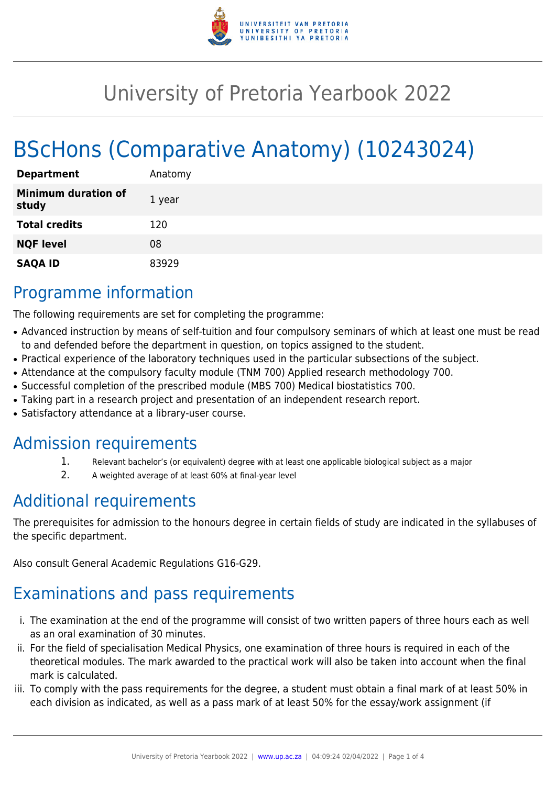

## University of Pretoria Yearbook 2022

# BScHons (Comparative Anatomy) (10243024)

| <b>Department</b>                   | Anatomy |
|-------------------------------------|---------|
| <b>Minimum duration of</b><br>study | 1 year  |
| <b>Total credits</b>                | 120     |
| <b>NQF level</b>                    | 08      |
| <b>SAQA ID</b>                      | 83929   |

### Programme information

The following requirements are set for completing the programme:

- Advanced instruction by means of self-tuition and four compulsory seminars of which at least one must be read to and defended before the department in question, on topics assigned to the student.
- Practical experience of the laboratory techniques used in the particular subsections of the subject.
- Attendance at the compulsory faculty module (TNM 700) Applied research methodology 700.
- Successful completion of the prescribed module (MBS 700) Medical biostatistics 700.
- Taking part in a research project and presentation of an independent research report.
- Satisfactory attendance at a library-user course.

#### Admission requirements

- 1. Relevant bachelor's (or equivalent) degree with at least one applicable biological subject as a major
- 2. A weighted average of at least 60% at final-year level

## Additional requirements

The prerequisites for admission to the honours degree in certain fields of study are indicated in the syllabuses of the specific department.

Also consult General Academic Regulations G16-G29.

## Examinations and pass requirements

- i. The examination at the end of the programme will consist of two written papers of three hours each as well as an oral examination of 30 minutes.
- ii. For the field of specialisation Medical Physics, one examination of three hours is required in each of the theoretical modules. The mark awarded to the practical work will also be taken into account when the final mark is calculated.
- iii. To comply with the pass requirements for the degree, a student must obtain a final mark of at least 50% in each division as indicated, as well as a pass mark of at least 50% for the essay/work assignment (if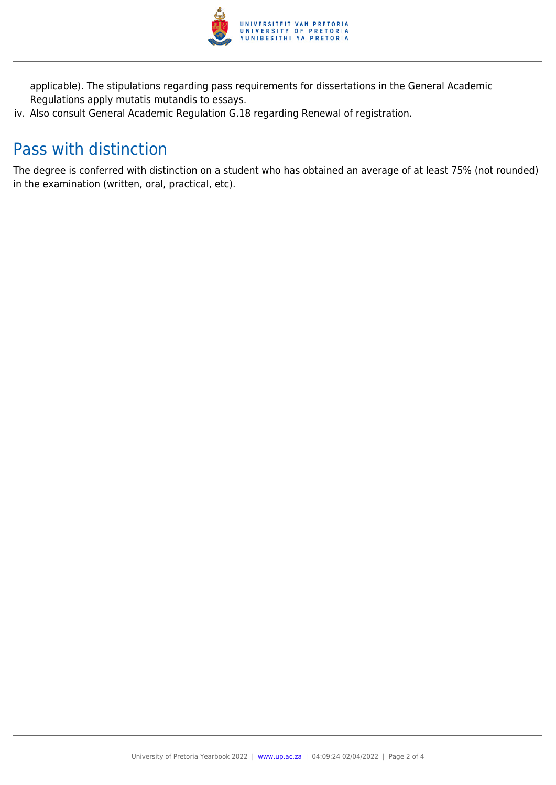

applicable). The stipulations regarding pass requirements for dissertations in the General Academic Regulations apply mutatis mutandis to essays.

iv. Also consult General Academic Regulation G.18 regarding Renewal of registration.

### Pass with distinction

The degree is conferred with distinction on a student who has obtained an average of at least 75% (not rounded) in the examination (written, oral, practical, etc).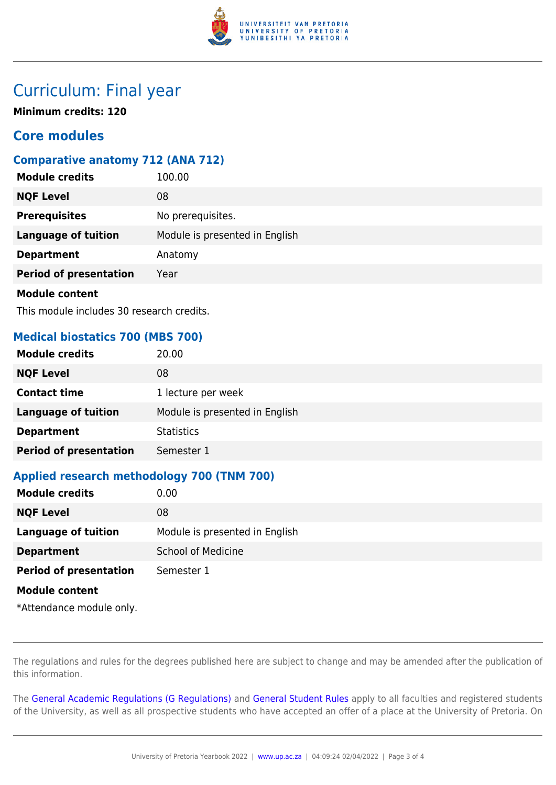

### Curriculum: Final year

**Minimum credits: 120**

#### **Core modules**

#### **Comparative anatomy 712 (ANA 712)**

| <b>Module credits</b>         | 100.00                         |
|-------------------------------|--------------------------------|
| <b>NQF Level</b>              | 08                             |
| <b>Prerequisites</b>          | No prerequisites.              |
| <b>Language of tuition</b>    | Module is presented in English |
| <b>Department</b>             | Anatomy                        |
| <b>Period of presentation</b> | Year                           |
| <b>Module content</b>         |                                |

This module includes 30 research credits.

#### **Medical biostatics 700 (MBS 700)**

| <b>Module credits</b>         | 20.00                          |
|-------------------------------|--------------------------------|
| <b>NQF Level</b>              | 08                             |
| <b>Contact time</b>           | 1 lecture per week             |
| <b>Language of tuition</b>    | Module is presented in English |
| <b>Department</b>             | <b>Statistics</b>              |
| <b>Period of presentation</b> | Semester 1                     |

#### **Applied research methodology 700 (TNM 700)**

| <b>Module credits</b>         | 0.00                           |
|-------------------------------|--------------------------------|
| <b>NQF Level</b>              | 08                             |
| <b>Language of tuition</b>    | Module is presented in English |
| <b>Department</b>             | <b>School of Medicine</b>      |
| <b>Period of presentation</b> | Semester 1                     |
| <b>Module content</b>         |                                |
| *Attendance module only.      |                                |

The regulations and rules for the degrees published here are subject to change and may be amended after the publication of this information.

The [General Academic Regulations \(G Regulations\)](https://www.up.ac.za/yearbooks/2022/rules/view/REG) and [General Student Rules](https://www.up.ac.za/yearbooks/2022/rules/view/RUL) apply to all faculties and registered students of the University, as well as all prospective students who have accepted an offer of a place at the University of Pretoria. On